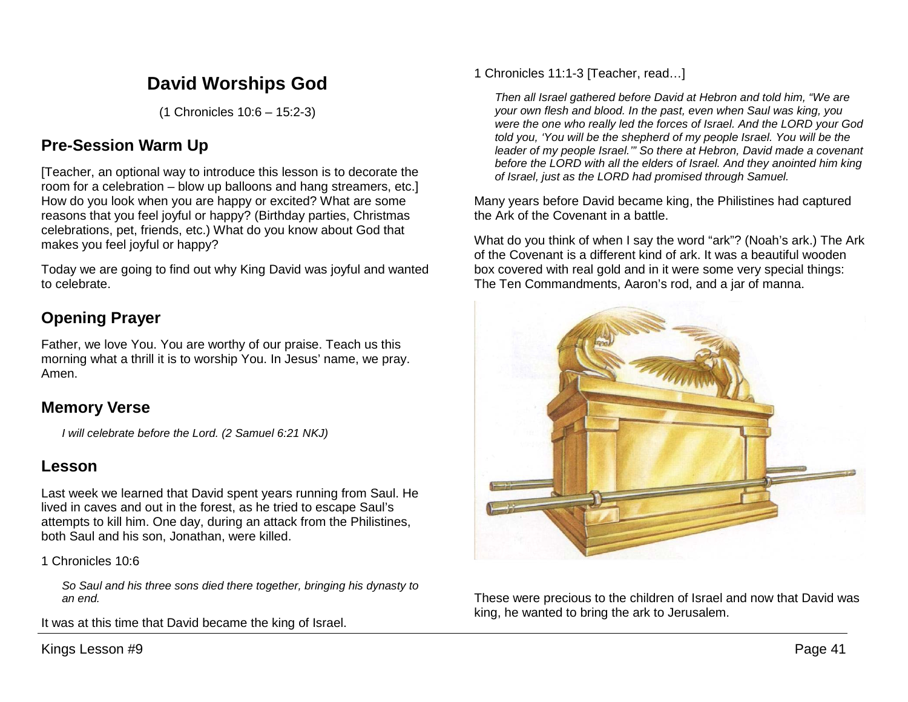# **David Worships God**

(1 Chronicles 10:6 – 15:2-3)

# **Pre-Session Warm Up**

[Teacher, an optional way to introduce this lesson is to decorate the room for a celebration – blow up balloons and hang streamers, etc.] How do you look when you are happy or excited? What are some reasons that you feel joyful or happy? (Birthday parties, Christmas celebrations, pet, friends, etc.) What do you know about God that makes you feel joyful or happy?

Today we are going to find out why King David was joyful and wanted to celebrate.

# **Opening Prayer**

Father, we love You. You are worthy of our praise. Teach us this morning what a thrill it is to worship You. In Jesus' name, we pray. Amen.

# **Memory Verse**

*I will celebrate before the Lord. (2 Samuel 6:21 NKJ)*

# **Lesson**

Last week we learned that David spent years running from Saul. He lived in caves and out in the forest, as he tried to escape Saul's attempts to kill him. One day, during an attack from the Philistines, both Saul and his son, Jonathan, were killed.

1 Chronicles 10:6

*So Saul and his three sons died there together, bringing his dynasty to an end.* 

It was at this time that David became the king of Israel.

Kings Lesson #9 Page 41

1 Chronicles 11:1-3 [Teacher, read…]

*Then all Israel gathered before David at Hebron and told him, "We are your own flesh and blood. In the past, even when Saul was king, you were the one who really led the forces of Israel. And the LORD your God told you, 'You will be the shepherd of my people Israel. You will be the leader of my people Israel.'" So there at Hebron, David made a covenant before the LORD with all the elders of Israel. And they anointed him king of Israel, just as the LORD had promised through Samuel.* 

Many years before David became king, the Philistines had captured the Ark of the Covenant in a battle.

What do you think of when I say the word "ark"? (Noah's ark.) The Ark of the Covenant is a different kind of ark. It was a beautiful wooden box covered with real gold and in it were some very special things: The Ten Commandments, Aaron's rod, and a jar of manna.



These were precious to the children of Israel and now that David was king, he wanted to bring the ark to Jerusalem.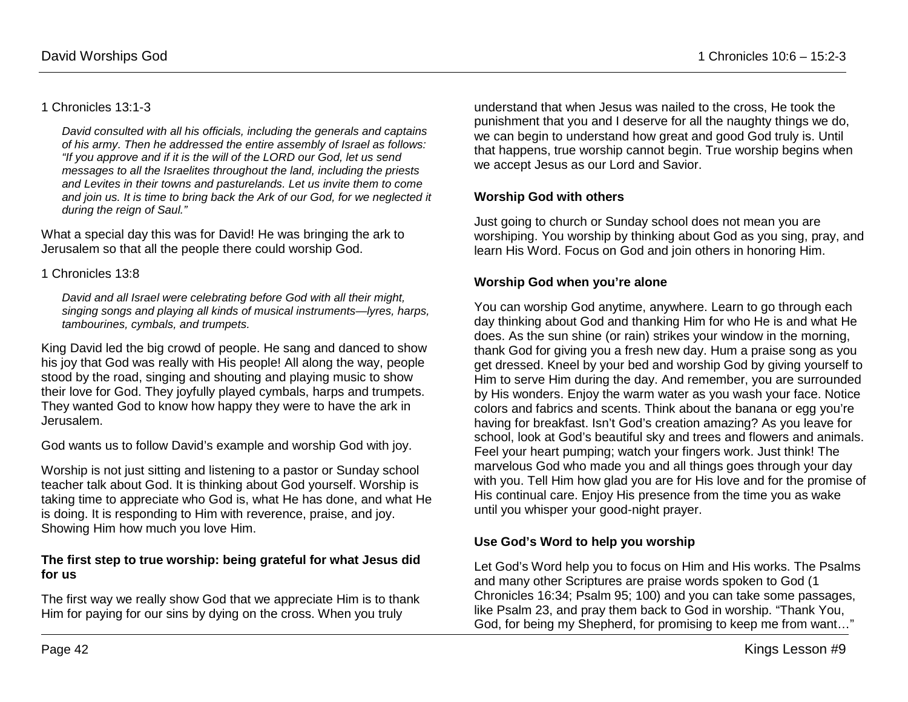#### 1 Chronicles 13:1-3

*David consulted with all his officials, including the generals and captains of his army. Then he addressed the entire assembly of Israel as follows: "If you approve and if it is the will of the LORD our God, let us send messages to all the Israelites throughout the land, including the priests and Levites in their towns and pasturelands. Let us invite them to come and join us. It is time to bring back the Ark of our God, for we neglected it during the reign of Saul."* 

What a special day this was for David! He was bringing the ark to Jerusalem so that all the people there could worship God.

#### 1 Chronicles 13:8

*David and all Israel were celebrating before God with all their might, singing songs and playing all kinds of musical instruments—lyres, harps, tambourines, cymbals, and trumpets.* 

King David led the big crowd of people. He sang and danced to show his joy that God was really with His people! All along the way, people stood by the road, singing and shouting and playing music to show their love for God. They joyfully played cymbals, harps and trumpets. They wanted God to know how happy they were to have the ark in Jerusalem.

God wants us to follow David's example and worship God with joy.

Worship is not just sitting and listening to a pastor or Sunday school teacher talk about God. It is thinking about God yourself. Worship is taking time to appreciate who God is, what He has done, and what He is doing. It is responding to Him with reverence, praise, and joy. Showing Him how much you love Him.

#### **The first step to true worship: being grateful for what Jesus did for us**

The first way we really show God that we appreciate Him is to thank Him for paying for our sins by dying on the cross. When you truly

understand that when Jesus was nailed to the cross, He took the punishment that you and I deserve for all the naughty things we do, we can begin to understand how great and good God truly is. Until that happens, true worship cannot begin. True worship begins when we accept Jesus as our Lord and Savior.

## **Worship God with others**

Just going to church or Sunday school does not mean you are worshiping. You worship by thinking about God as you sing, pray, and learn His Word. Focus on God and join others in honoring Him.

#### **Worship God when you're alone**

You can worship God anytime, anywhere. Learn to go through each day thinking about God and thanking Him for who He is and what He does. As the sun shine (or rain) strikes your window in the morning, thank God for giving you a fresh new day. Hum a praise song as you get dressed. Kneel by your bed and worship God by giving yourself to Him to serve Him during the day. And remember, you are surrounded by His wonders. Enjoy the warm water as you wash your face. Notice colors and fabrics and scents. Think about the banana or egg you're having for breakfast. Isn't God's creation amazing? As you leave for school, look at God's beautiful sky and trees and flowers and animals. Feel your heart pumping; watch your fingers work. Just think! The marvelous God who made you and all things goes through your day with you. Tell Him how glad you are for His love and for the promise of His continual care. Enjoy His presence from the time you as wake until you whisper your good-night prayer.

## **Use God's Word to help you worship**

Let God's Word help you to focus on Him and His works. The Psalms and many other Scriptures are praise words spoken to God (1 Chronicles 16:34; Psalm 95; 100) and you can take some passages, like Psalm 23, and pray them back to God in worship. "Thank You, God, for being my Shepherd, for promising to keep me from want…"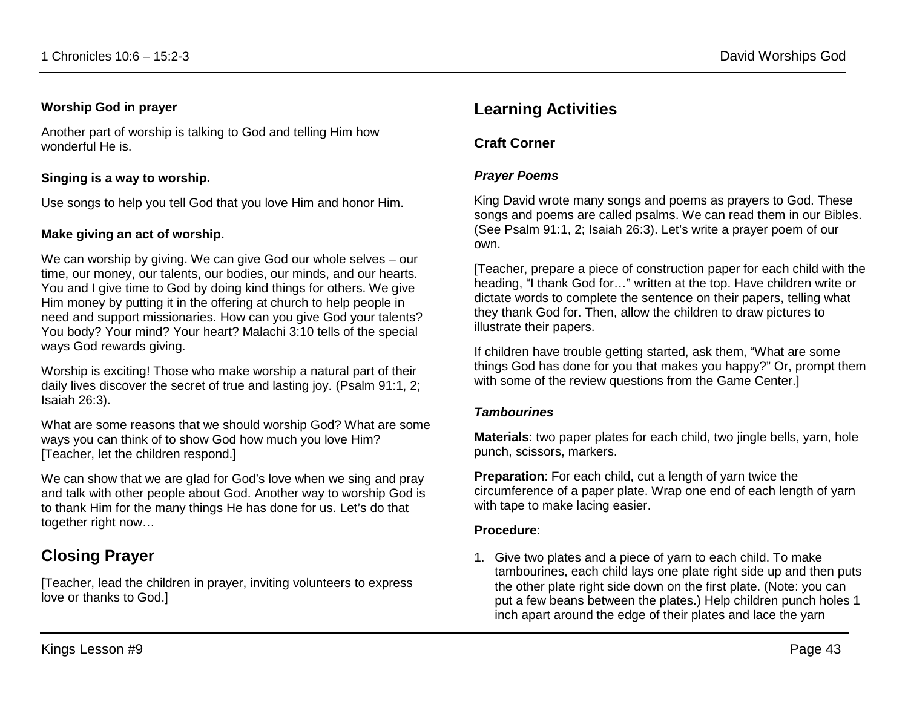#### **Worship God in prayer**

Another part of worship is talking to God and telling Him how wonderful He is.

## **Singing is a way to worship.**

Use songs to help you tell God that you love Him and honor Him.

## **Make giving an act of worship.**

We can worship by giving. We can give God our whole selves – our time, our money, our talents, our bodies, our minds, and our hearts. You and I give time to God by doing kind things for others. We give Him money by putting it in the offering at church to help people in need and support missionaries. How can you give God your talents? You body? Your mind? Your heart? Malachi 3:10 tells of the special ways God rewards giving.

Worship is exciting! Those who make worship a natural part of their daily lives discover the secret of true and lasting joy. (Psalm 91:1, 2; Isaiah 26:3).

What are some reasons that we should worship God? What are some ways you can think of to show God how much you love Him? [Teacher, let the children respond.]

We can show that we are glad for God's love when we sing and pray and talk with other people about God. Another way to worship God is to thank Him for the many things He has done for us. Let's do that together right now…

# **Closing Prayer**

[Teacher, lead the children in prayer, inviting volunteers to express love or thanks to God.]

# **Learning Activities**

## **Craft Corner**

#### *Prayer Poems*

King David wrote many songs and poems as prayers to God. These songs and poems are called psalms. We can read them in our Bibles. (See Psalm 91:1, 2; Isaiah 26:3). Let's write a prayer poem of our own.

[Teacher, prepare a piece of construction paper for each child with the heading, "I thank God for…" written at the top. Have children write or dictate words to complete the sentence on their papers, telling what they thank God for. Then, allow the children to draw pictures to illustrate their papers.

If children have trouble getting started, ask them, "What are some things God has done for you that makes you happy?" Or, prompt them with some of the review questions from the Game Center.

#### *Tambourines*

**Materials**: two paper plates for each child, two jingle bells, yarn, hole punch, scissors, markers.

**Preparation**: For each child, cut a length of yarn twice the circumference of a paper plate. Wrap one end of each length of yarn with tape to make lacing easier.

#### **Procedure**:

1. Give two plates and a piece of yarn to each child. To make tambourines, each child lays one plate right side up and then puts the other plate right side down on the first plate. (Note: you can put a few beans between the plates.) Help children punch holes 1 inch apart around the edge of their plates and lace the yarn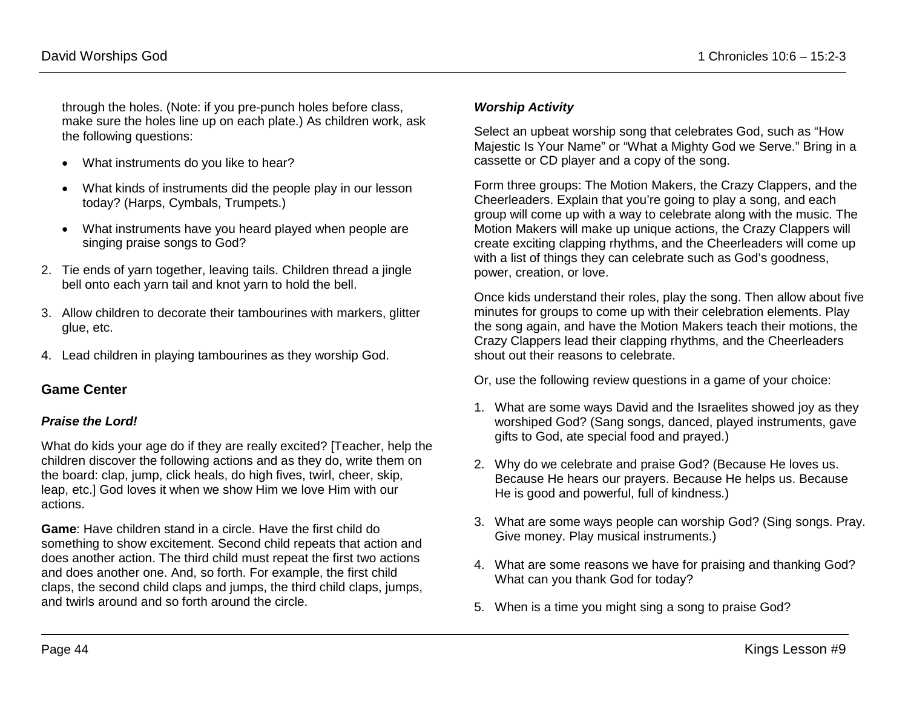through the holes. (Note: if you pre-punch holes before class, make sure the holes line up on each plate.) As children work, ask the following questions:

- What instruments do you like to hear?
- What kinds of instruments did the people play in our lesson today? (Harps, Cymbals, Trumpets.)
- What instruments have you heard played when people are singing praise songs to God?
- 2. Tie ends of yarn together, leaving tails. Children thread a jingle bell onto each yarn tail and knot yarn to hold the bell.
- 3. Allow children to decorate their tambourines with markers, glitter glue, etc.
- 4. Lead children in playing tambourines as they worship God.

## **Game Center**

## *Praise the Lord!*

What do kids your age do if they are really excited? [Teacher, help the children discover the following actions and as they do, write them on the board: clap, jump, click heals, do high fives, twirl, cheer, skip, leap, etc.] God loves it when we show Him we love Him with our actions.

**Game**: Have children stand in a circle. Have the first child do something to show excitement. Second child repeats that action and does another action. The third child must repeat the first two actions and does another one. And, so forth. For example, the first child claps, the second child claps and jumps, the third child claps, jumps, and twirls around and so forth around the circle.

#### *Worship Activity*

Select an upbeat worship song that celebrates God, such as "How Majestic Is Your Name" or "What a Mighty God we Serve." Bring in a cassette or CD player and a copy of the song.

Form three groups: The Motion Makers, the Crazy Clappers, and the Cheerleaders. Explain that you're going to play a song, and each group will come up with a way to celebrate along with the music. The Motion Makers will make up unique actions, the Crazy Clappers will create exciting clapping rhythms, and the Cheerleaders will come up with a list of things they can celebrate such as God's goodness, power, creation, or love.

Once kids understand their roles, play the song. Then allow about five minutes for groups to come up with their celebration elements. Play the song again, and have the Motion Makers teach their motions, the Crazy Clappers lead their clapping rhythms, and the Cheerleaders shout out their reasons to celebrate.

Or, use the following review questions in a game of your choice:

- 1. What are some ways David and the Israelites showed joy as they worshiped God? (Sang songs, danced, played instruments, gave gifts to God, ate special food and prayed.)
- 2. Why do we celebrate and praise God? (Because He loves us. Because He hears our prayers. Because He helps us. Because He is good and powerful, full of kindness.)
- 3. What are some ways people can worship God? (Sing songs. Pray. Give money. Play musical instruments.)
- 4. What are some reasons we have for praising and thanking God? What can you thank God for today?
- 5. When is a time you might sing a song to praise God?